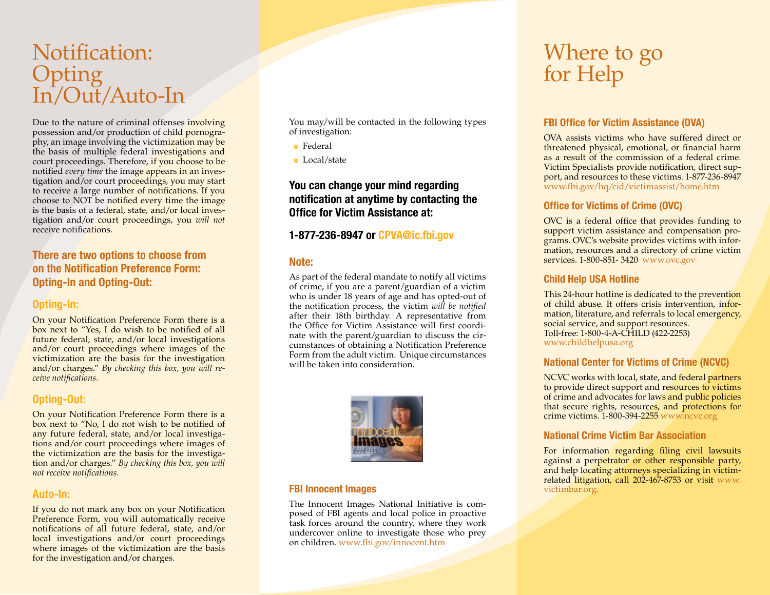# Notification: **Opting** In/Out/Auto-In

Due to the nature of criminal offenses involving possession and/or production of child pornography, an image involving the victimization may be the basis of multiple federal investigations and court proceedings. Therefore, if you choose to be notified *every time* the image appears in an investigation and/or court proceedings, you may start to receive a large number of notifications. If you choose to NOT be notified every time the image is the basis of a federal, state, and/or local investigation and/or court proceedings, you *will not* receive notifications.

# **There are two options to choose from on the Notification Preference Form: Opting-In and Opting-Out:**

#### **Opting-In:**

On your Notification Preference Form there is a box next to "Yes, I do wish to be notified of all future federal, state, and/or local investigations and/or court proceedings where images of the victimization are the basis for the investigation and/or charges." *By checking this box, you will receive notifications.*

# **Opting-Out:**

On your Notification Preference Form there is a box next to "No, I do not wish to be notified of any future federal, state, and/or local investigations and/or court proceedings where images of the victimization are the basis for the investigation and/or charges." *By checking this box, you will not receive notifications.*

#### **Auto-In:**

If you do not mark any box on your Notification Preference Form, you will automatically receive notifications of all future federal, state, and/or local investigations and/or court proceedings where images of the victimization are the basis for the investigation and/or charges.

You may/will be contacted in the following types of investigation:

- Federal
- Local/state

# **You can change your mind regarding notification at anytime by contacting the Office for Victim Assistance at:**

# **1-877-236-8947 or CPVA@ic.fbi.gov**

#### **Note:**

As part of the federal mandate to notify all victims of crime, if you are a parent/guardian of a victim who is under 18 years of age and has opted-out of the notification process, the victim *will be notified* after their 18th birthday. A representative from the Office for Victim Assistance will first coordinate with the parent/guardian to discuss the circumstances of obtaining a Notification Preference Form from the adult victim. Unique circumstances will be taken into consideration.



#### **FBI Innocent Images**

The Innocent Images National Initiative is composed of FBI agents and local police in proactive task forces around the country, where they work undercover online to investigate those who prey on children. www.fbi.gov/innocent.htm

# Where to go for Help

## **FBI Office for Victim Assistance (OVA)**

OVA assists victims who have suffered direct or threatened physical, emotional, or financial harm as a result of the commission of a federal crime. Victim Specialists provide notification, direct support, and resources to these victims. 1-877-236-8947 www.fbi.gov/hq/cid/victimassist/home.htm

#### **Office for Victims of Crime (OVC)**

OVC is a federal office that provides funding to support victim assistance and compensation programs. OVC's website provides victims with information, resources and a directory of crime victim services. 1-800-851- 3420. www.ovc.gov

#### **Child Help USA Hotline**

This 24-hour hotline is dedicated to the prevention of child abuse. It offers crisis intervention, information, literature, and referrals to local emergency, social service, and support resources. Toll-free: 1-800-4-A-CHILD (422-2253) www.childhelpusa.org

### **National Center for Victims of Crime (NCVC)**

NCVC works with local, state, and federal partners to provide direct support and resources to victims of crime and advocates for laws and public policies that secure rights, resources, and protections for crime victims. 1-800-394-2255 www.ncvc.org

### **National Crime Victim Bar Association**

For information regarding filing civil lawsuits against a perpetrator or other responsible party, and help locating attorneys specializing in victimrelated litigation, call 202-467-8753 or visit www. victimbar.org.